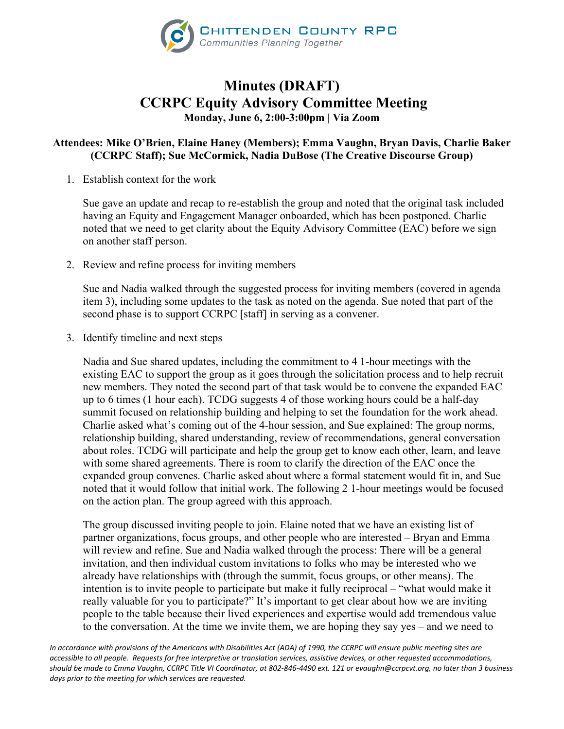

## **Minutes (DRAFT) CCRPC Equity Advisory Committee Meeting Monday, June 6, 2:00-3:00pm | Via Zoom**

## **Attendees: Mike O'Brien, Elaine Haney (Members); Emma Vaughn, Bryan Davis, Charlie Baker (CCRPC Staff); Sue McCormick, Nadia DuBose (The Creative Discourse Group)**

1. Establish context for the work

Sue gave an update and recap to re-establish the group and noted that the original task included having an Equity and Engagement Manager onboarded, which has been postponed. Charlie noted that we need to get clarity about the Equity Advisory Committee (EAC) before we sign on another staff person.

2. Review and refine process for inviting members

Sue and Nadia walked through the suggested process for inviting members (covered in agenda item 3), including some updates to the task as noted on the agenda. Sue noted that part of the second phase is to support CCRPC [staff] in serving as a convener.

3. Identify timeline and next steps

Nadia and Sue shared updates, including the commitment to 4 1-hour meetings with the existing EAC to support the group as it goes through the solicitation process and to help recruit new members. They noted the second part of that task would be to convene the expanded EAC up to 6 times (1 hour each). TCDG suggests 4 of those working hours could be a half-day summit focused on relationship building and helping to set the foundation for the work ahead. Charlie asked what's coming out of the 4-hour session, and Sue explained: The group norms, relationship building, shared understanding, review of recommendations, general conversation about roles. TCDG will participate and help the group get to know each other, learn, and leave with some shared agreements. There is room to clarify the direction of the EAC once the expanded group convenes. Charlie asked about where a formal statement would fit in, and Sue noted that it would follow that initial work. The following 2 1-hour meetings would be focused on the action plan. The group agreed with this approach.

The group discussed inviting people to join. Elaine noted that we have an existing list of partner organizations, focus groups, and other people who are interested – Bryan and Emma will review and refine. Sue and Nadia walked through the process: There will be a general invitation, and then individual custom invitations to folks who may be interested who we already have relationships with (through the summit, focus groups, or other means). The intention is to invite people to participate but make it fully reciprocal – "what would make it really valuable for you to participate?" It's important to get clear about how we are inviting people to the table because their lived experiences and expertise would add tremendous value to the conversation. At the time we invite them, we are hoping they say yes – and we need to

*In accordance with provisions of the Americans with Disabilities Act (ADA) of 1990, the CCRPC will ensure public meeting sites are accessible to all people. Requests for free interpretive or translation services, assistive devices, or other requested accommodations, should be made to Emma Vaughn, CCRPC Title VI Coordinator, at 802-846-4490 ext. 121 or evaughn@ccrpcvt.org, no later than 3 business days prior to the meeting for which services are requested.*